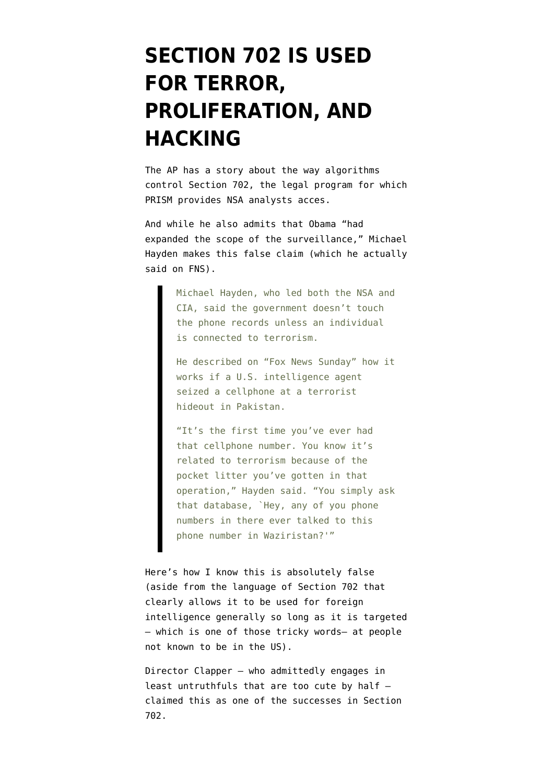## **[SECTION 702 IS USED](https://www.emptywheel.net/2013/06/10/section-702-is-used-for-terror-proliferation-and-hacking/) [FOR TERROR,](https://www.emptywheel.net/2013/06/10/section-702-is-used-for-terror-proliferation-and-hacking/) [PROLIFERATION, AND](https://www.emptywheel.net/2013/06/10/section-702-is-used-for-terror-proliferation-and-hacking/) [HACKING](https://www.emptywheel.net/2013/06/10/section-702-is-used-for-terror-proliferation-and-hacking/)**

The AP has a [story](http://hosted.ap.org/dynamic/stories/U/US_NSA_PHONE_RECORDS_INSIDE_NSA?SITE=AP&SECTION=HOME&TEMPLATE=DEFAULT&CTIME=2013-06-10-04-34-19) about the way algorithms control Section 702, the legal program for which PRISM provides NSA analysts acces.

And while he also admits that Obama "had expanded the scope of the surveillance," Michael Hayden makes this false claim (which he actually [said on FNS](http://www.foxnews.com/on-air/fox-news-sunday-chris-wallace/2013/06/09/government-surveillance-unconstitutional-reaction-sens-rand-paul-ron-johnson-and-gen#p//v/2464941025001)).

> Michael Hayden, who led both the NSA and CIA, said the government doesn't touch the phone records unless an individual is connected to terrorism.

He described on "Fox News Sunday" how it works if a U.S. intelligence agent seized a cellphone at a terrorist hideout in Pakistan.

"It's the first time you've ever had that cellphone number. You know it's related to terrorism because of the pocket litter you've gotten in that operation," Hayden said. "You simply ask that database, `Hey, any of you phone numbers in there ever talked to this phone number in Waziristan?'"

Here's how I know this is absolutely false (aside from the [language of Section 702](http://www.govtrack.us/congress/bills/110/hr6304/text) that clearly allows it to be used for foreign intelligence generally so long as it is targeted — which is one of those tricky words– at people not known to be in the US).

Director Clapper — who admittedly engages in least untruthfuls that are too cute by half [claimed this](http://www.dni.gov/files/documents/Facts%20on%20the%20Collection%20of%20Intelligence%20Pursuant%20to%20Section%20702.pdf) as one of the successes in Section 702.